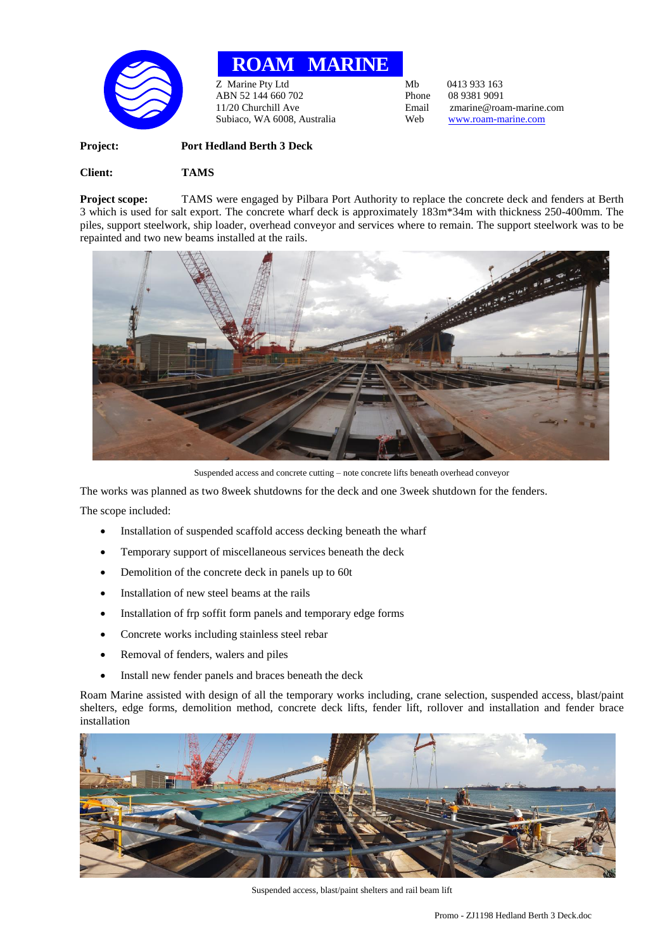

**ROAM MARINE**

Z Marine Pty Ltd<br>
ABN 52 144 660 702<br>
Phone 08 9381 9091 ABN 52 144 660 702 Phone<br>11/20 Churchill Ave Email Subiaco, WA 6008, Australia Web [www.roam-marine.com](http://www.roam-marine.com/)

Email zmarine@roam-marine.com<br>Web www.roam-marine.com

**Project: Port Hedland Berth 3 Deck Client: TAMS**

**Project scope:** TAMS were engaged by Pilbara Port Authority to replace the concrete deck and fenders at Berth 3 which is used for salt export. The concrete wharf deck is approximately 183m\*34m with thickness 250-400mm. The piles, support steelwork, ship loader, overhead conveyor and services where to remain. The support steelwork was to be repainted and two new beams installed at the rails.



Suspended access and concrete cutting – note concrete lifts beneath overhead conveyor

The works was planned as two 8week shutdowns for the deck and one 3week shutdown for the fenders.

The scope included:

- Installation of suspended scaffold access decking beneath the wharf
- Temporary support of miscellaneous services beneath the deck
- Demolition of the concrete deck in panels up to 60t
- Installation of new steel beams at the rails
- Installation of frp soffit form panels and temporary edge forms
- Concrete works including stainless steel rebar
- Removal of fenders, walers and piles
- Install new fender panels and braces beneath the deck

Roam Marine assisted with design of all the temporary works including, crane selection, suspended access, blast/paint shelters, edge forms, demolition method, concrete deck lifts, fender lift, rollover and installation and fender brace installation



Suspended access, blast/paint shelters and rail beam lift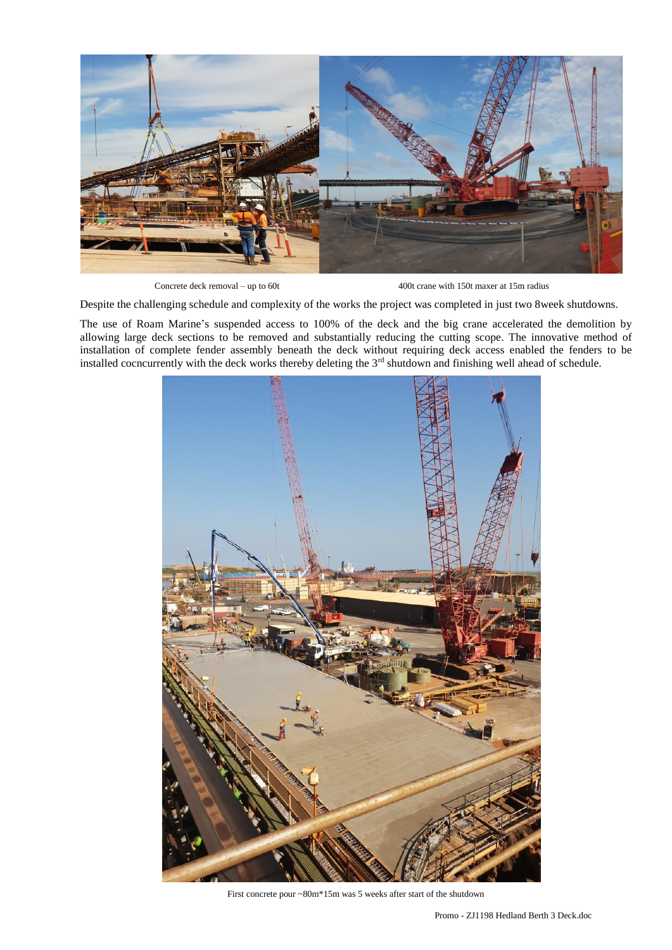

Concrete deck removal – up to 60t 400t crane with 150t maxer at 15m radius

Despite the challenging schedule and complexity of the works the project was completed in just two 8week shutdowns.

The use of Roam Marine's suspended access to 100% of the deck and the big crane accelerated the demolition by allowing large deck sections to be removed and substantially reducing the cutting scope. The innovative method of installation of complete fender assembly beneath the deck without requiring deck access enabled the fenders to be installed cocncurrently with the deck works thereby deleting the 3<sup>rd</sup> shutdown and finishing well ahead of schedule.



First concrete pour ~80m\*15m was 5 weeks after start of the shutdown